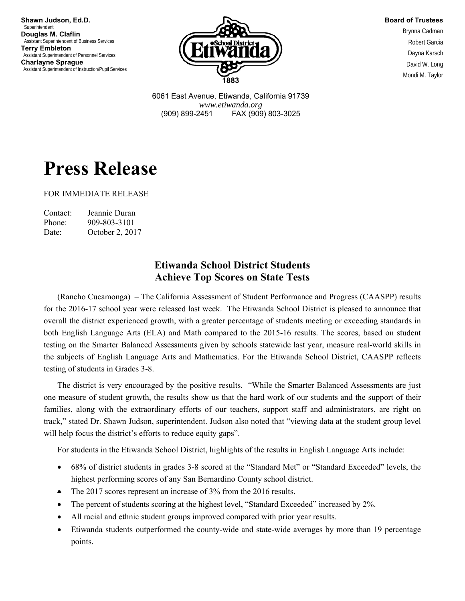**Shawn Judson, Ed.D. Superintendent Douglas M. Claflin**  Assistant Superintendent of Business Services **Terry Embleton**  Assistant Superintendent of Personnel Services **Charlayne Sprague**  Assistant Superintendent of Instruction/Pupil Services



**Board of Trustees**

Brynna Cadman Robert Garcia Dayna Karsch David W. Long Mondi M. Taylor

6061 East Avenue, Etiwanda, California 91739 *www.etiwanda.org* (909) 899-2451 FAX (909) 803-3025

## **Press Release**

FOR IMMEDIATE RELEASE

| Contact: | Jeannie Duran   |
|----------|-----------------|
| Phone:   | 909-803-3101    |
| Date:    | October 2, 2017 |

## **Etiwanda School District Students Achieve Top Scores on State Tests**

 (Rancho Cucamonga) – The California Assessment of Student Performance and Progress (CAASPP) results for the 2016-17 school year were released last week. The Etiwanda School District is pleased to announce that overall the district experienced growth, with a greater percentage of students meeting or exceeding standards in both English Language Arts (ELA) and Math compared to the 2015-16 results. The scores, based on student testing on the Smarter Balanced Assessments given by schools statewide last year, measure real-world skills in the subjects of English Language Arts and Mathematics. For the Etiwanda School District, CAASPP reflects testing of students in Grades 3-8.

 The district is very encouraged by the positive results. "While the Smarter Balanced Assessments are just one measure of student growth, the results show us that the hard work of our students and the support of their families, along with the extraordinary efforts of our teachers, support staff and administrators, are right on track," stated Dr. Shawn Judson, superintendent. Judson also noted that "viewing data at the student group level will help focus the district's efforts to reduce equity gaps".

For students in the Etiwanda School District, highlights of the results in English Language Arts include:

- 68% of district students in grades 3-8 scored at the "Standard Met" or "Standard Exceeded" levels, the highest performing scores of any San Bernardino County school district.
- The 2017 scores represent an increase of 3% from the 2016 results.
- The percent of students scoring at the highest level, "Standard Exceeded" increased by 2%.
- All racial and ethnic student groups improved compared with prior year results.
- Etiwanda students outperformed the county-wide and state-wide averages by more than 19 percentage points.